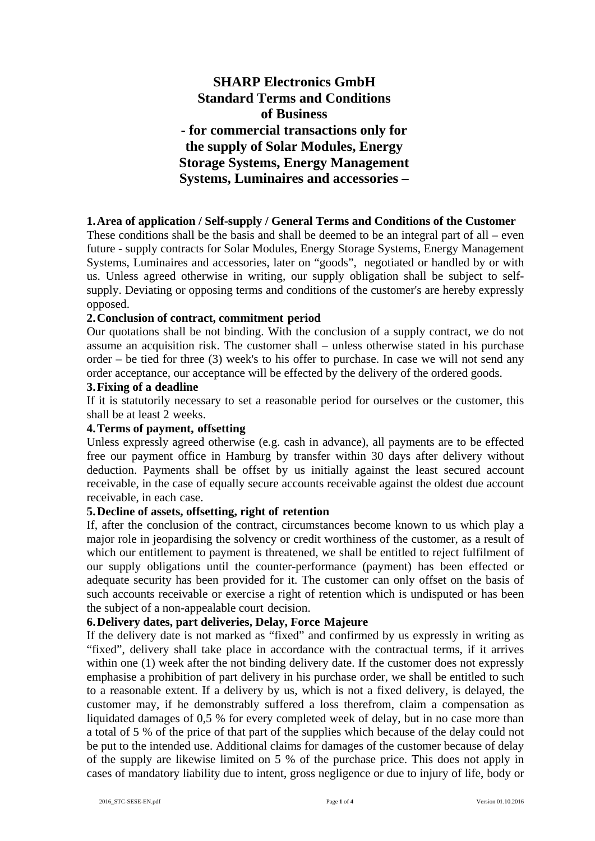# **SHARP Electronics GmbH Standard Terms and Conditions of Business - for commercial transactions only for the supply of Solar Modules, Energy Storage Systems, Energy Management Systems, Luminaires and accessories –**

# **1.Area of application / Self-supply / General Terms and Conditions of the Customer**

These conditions shall be the basis and shall be deemed to be an integral part of all – even future - supply contracts for Solar Modules, Energy Storage Systems, Energy Management Systems, Luminaires and accessories, later on "goods", negotiated or handled by or with us. Unless agreed otherwise in writing, our supply obligation shall be subject to selfsupply. Deviating or opposing terms and conditions of the customer's are hereby expressly opposed.

#### **2.Conclusion of contract, commitment period**

Our quotations shall be not binding. With the conclusion of a supply contract, we do not assume an acquisition risk. The customer shall – unless otherwise stated in his purchase order – be tied for three (3) week's to his offer to purchase. In case we will not send any order acceptance, our acceptance will be effected by the delivery of the ordered goods.

#### **3.Fixing of a deadline**

If it is statutorily necessary to set a reasonable period for ourselves or the customer, this shall be at least 2 weeks.

#### **4.Terms of payment, offsetting**

Unless expressly agreed otherwise (e.g. cash in advance), all payments are to be effected free our payment office in Hamburg by transfer within 30 days after delivery without deduction. Payments shall be offset by us initially against the least secured account receivable, in the case of equally secure accounts receivable against the oldest due account receivable, in each case.

# **5.Decline of assets, offsetting, right of retention**

If, after the conclusion of the contract, circumstances become known to us which play a major role in jeopardising the solvency or credit worthiness of the customer, as a result of which our entitlement to payment is threatened, we shall be entitled to reject fulfilment of our supply obligations until the counter-performance (payment) has been effected or adequate security has been provided for it. The customer can only offset on the basis of such accounts receivable or exercise a right of retention which is undisputed or has been the subject of a non-appealable court decision.

# **6.Delivery dates, part deliveries, Delay, Force Majeure**

If the delivery date is not marked as "fixed" and confirmed by us expressly in writing as "fixed", delivery shall take place in accordance with the contractual terms, if it arrives within one (1) week after the not binding delivery date. If the customer does not expressly emphasise a prohibition of part delivery in his purchase order, we shall be entitled to such to a reasonable extent. If a delivery by us, which is not a fixed delivery, is delayed, the customer may, if he demonstrably suffered a loss therefrom, claim a compensation as liquidated damages of 0,5 % for every completed week of delay, but in no case more than a total of 5 % of the price of that part of the supplies which because of the delay could not be put to the intended use. Additional claims for damages of the customer because of delay of the supply are likewise limited on 5 % of the purchase price. This does not apply in cases of mandatory liability due to intent, gross negligence or due to injury of life, body or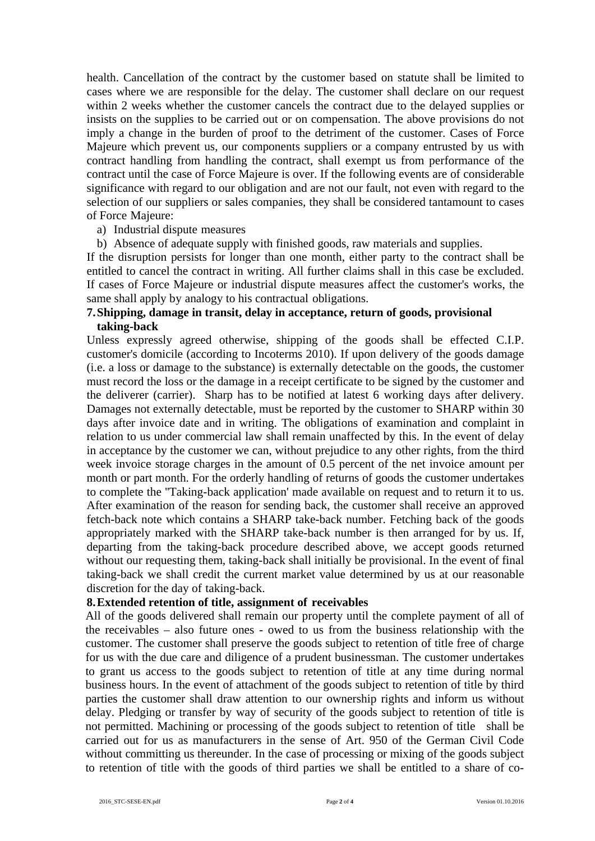health. Cancellation of the contract by the customer based on statute shall be limited to cases where we are responsible for the delay. The customer shall declare on our request within 2 weeks whether the customer cancels the contract due to the delayed supplies or insists on the supplies to be carried out or on compensation. The above provisions do not imply a change in the burden of proof to the detriment of the customer. Cases of Force Majeure which prevent us, our components suppliers or a company entrusted by us with contract handling from handling the contract, shall exempt us from performance of the contract until the case of Force Majeure is over. If the following events are of considerable significance with regard to our obligation and are not our fault, not even with regard to the selection of our suppliers or sales companies, they shall be considered tantamount to cases of Force Majeure:

a) Industrial dispute measures

b) Absence of adequate supply with finished goods, raw materials and supplies.

If the disruption persists for longer than one month, either party to the contract shall be entitled to cancel the contract in writing. All further claims shall in this case be excluded. If cases of Force Majeure or industrial dispute measures affect the customer's works, the same shall apply by analogy to his contractual obligations.

# **7.Shipping, damage in transit, delay in acceptance, return of goods, provisional taking-back**

Unless expressly agreed otherwise, shipping of the goods shall be effected C.I.P. customer's domicile (according to Incoterms 2010). If upon delivery of the goods damage (i.e. a loss or damage to the substance) is externally detectable on the goods, the customer must record the loss or the damage in a receipt certificate to be signed by the customer and the deliverer (carrier). Sharp has to be notified at latest 6 working days after delivery. Damages not externally detectable, must be reported by the customer to SHARP within 30 days after invoice date and in writing. The obligations of examination and complaint in relation to us under commercial law shall remain unaffected by this. In the event of delay in acceptance by the customer we can, without prejudice to any other rights, from the third week invoice storage charges in the amount of 0.5 percent of the net invoice amount per month or part month. For the orderly handling of returns of goods the customer undertakes to complete the ''Taking-back application' made available on request and to return it to us. After examination of the reason for sending back, the customer shall receive an approved fetch-back note which contains a SHARP take-back number. Fetching back of the goods appropriately marked with the SHARP take-back number is then arranged for by us. If, departing from the taking-back procedure described above, we accept goods returned without our requesting them, taking-back shall initially be provisional. In the event of final taking-back we shall credit the current market value determined by us at our reasonable discretion for the day of taking-back.

# **8.Extended retention of title, assignment of receivables**

All of the goods delivered shall remain our property until the complete payment of all of the receivables – also future ones - owed to us from the business relationship with the customer. The customer shall preserve the goods subject to retention of title free of charge for us with the due care and diligence of a prudent businessman. The customer undertakes to grant us access to the goods subject to retention of title at any time during normal business hours. In the event of attachment of the goods subject to retention of title by third parties the customer shall draw attention to our ownership rights and inform us without delay. Pledging or transfer by way of security of the goods subject to retention of title is not permitted. Machining or processing of the goods subject to retention of title shall be carried out for us as manufacturers in the sense of Art. 950 of the German Civil Code without committing us thereunder. In the case of processing or mixing of the goods subject to retention of title with the goods of third parties we shall be entitled to a share of co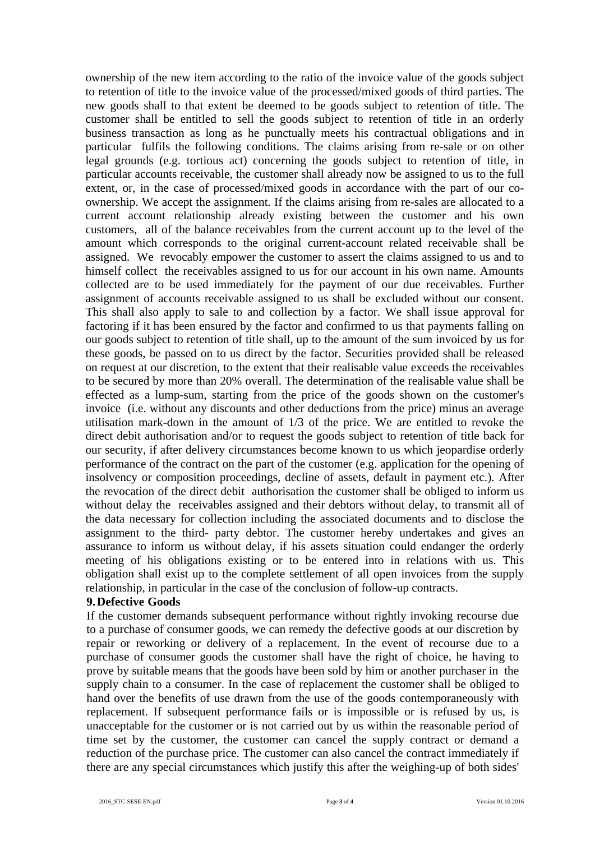ownership of the new item according to the ratio of the invoice value of the goods subject to retention of title to the invoice value of the processed/mixed goods of third parties. The new goods shall to that extent be deemed to be goods subject to retention of title. The customer shall be entitled to sell the goods subject to retention of title in an orderly business transaction as long as he punctually meets his contractual obligations and in particular fulfils the following conditions. The claims arising from re-sale or on other legal grounds (e.g. tortious act) concerning the goods subject to retention of title, in particular accounts receivable, the customer shall already now be assigned to us to the full extent, or, in the case of processed/mixed goods in accordance with the part of our coownership. We accept the assignment. If the claims arising from re-sales are allocated to a current account relationship already existing between the customer and his own customers, all of the balance receivables from the current account up to the level of the amount which corresponds to the original current-account related receivable shall be assigned. We revocably empower the customer to assert the claims assigned to us and to himself collect the receivables assigned to us for our account in his own name. Amounts collected are to be used immediately for the payment of our due receivables. Further assignment of accounts receivable assigned to us shall be excluded without our consent. This shall also apply to sale to and collection by a factor. We shall issue approval for factoring if it has been ensured by the factor and confirmed to us that payments falling on our goods subject to retention of title shall, up to the amount of the sum invoiced by us for these goods, be passed on to us direct by the factor. Securities provided shall be released on request at our discretion, to the extent that their realisable value exceeds the receivables to be secured by more than 20% overall. The determination of the realisable value shall be effected as a lump-sum, starting from the price of the goods shown on the customer's invoice (i.e. without any discounts and other deductions from the price) minus an average utilisation mark-down in the amount of 1/3 of the price. We are entitled to revoke the direct debit authorisation and/or to request the goods subject to retention of title back for our security, if after delivery circumstances become known to us which jeopardise orderly performance of the contract on the part of the customer (e.g. application for the opening of insolvency or composition proceedings, decline of assets, default in payment etc.). After the revocation of the direct debit authorisation the customer shall be obliged to inform us without delay the receivables assigned and their debtors without delay, to transmit all of the data necessary for collection including the associated documents and to disclose the assignment to the third- party debtor. The customer hereby undertakes and gives an assurance to inform us without delay, if his assets situation could endanger the orderly meeting of his obligations existing or to be entered into in relations with us. This obligation shall exist up to the complete settlement of all open invoices from the supply relationship, in particular in the case of the conclusion of follow-up contracts.

#### **9.Defective Goods**

If the customer demands subsequent performance without rightly invoking recourse due to a purchase of consumer goods, we can remedy the defective goods at our discretion by repair or reworking or delivery of a replacement. In the event of recourse due to a purchase of consumer goods the customer shall have the right of choice, he having to prove by suitable means that the goods have been sold by him or another purchaser in the supply chain to a consumer. In the case of replacement the customer shall be obliged to hand over the benefits of use drawn from the use of the goods contemporaneously with replacement. If subsequent performance fails or is impossible or is refused by us, is unacceptable for the customer or is not carried out by us within the reasonable period of time set by the customer, the customer can cancel the supply contract or demand a reduction of the purchase price. The customer can also cancel the contract immediately if there are any special circumstances which justify this after the weighing-up of both sides'